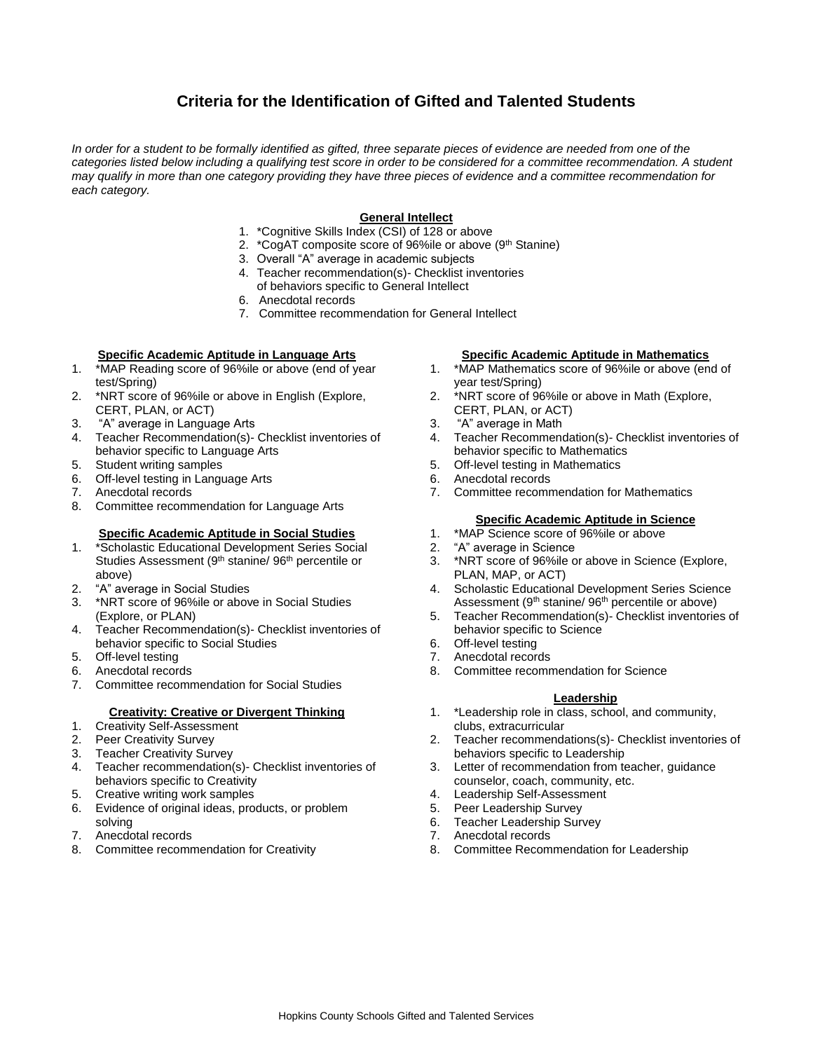# **Criteria for the Identification of Gifted and Talented Students**

*In order for a student to be formally identified as gifted, three separate pieces of evidence are needed from one of the*  categories listed below including a qualifying test score in order to be considered for a committee recommendation. A student *may qualify in more than one category providing they have three pieces of evidence and a committee recommendation for each category.*

# **General Intellect**

- 1. \*Cognitive Skills Index (CSI) of 128 or above
- 2. \*CogAT composite score of 96%ile or above (9<sup>th</sup> Stanine)
- 3. Overall "A" average in academic subjects
- 4. Teacher recommendation(s)- Checklist inventories
- of behaviors specific to General Intellect
- 6. Anecdotal records
- 7. Committee recommendation for General Intellect

## **Specific Academic Aptitude in Language Arts**

- 1. \*MAP Reading score of 96%ile or above (end of year test/Spring)
- 2. \*NRT score of 96%ile or above in English (Explore, CERT, PLAN, or ACT)
- 3. "A" average in Language Arts
- 4. Teacher Recommendation(s)- Checklist inventories of behavior specific to Language Arts
- 5. Student writing samples
- 6. Off-level testing in Language Arts
- 7. Anecdotal records
- 8. Committee recommendation for Language Arts

### **Specific Academic Aptitude in Social Studies**

- 1. \*Scholastic Educational Development Series Social Studies Assessment (9<sup>th</sup> stanine/ 96<sup>th</sup> percentile or above)
- 2. "A" average in Social Studies
- 3. \*NRT score of 96%ile or above in Social Studies (Explore, or PLAN)
- 4. Teacher Recommendation(s)- Checklist inventories of behavior specific to Social Studies
- 5. Off-level testing
- 6. Anecdotal records
- 7. Committee recommendation for Social Studies

#### **Creativity: Creative or Divergent Thinking**

- 1. Creativity Self-Assessment
- 2. Peer Creativity Survey
- 3. Teacher Creativity Survey
- 4. Teacher recommendation(s)- Checklist inventories of behaviors specific to Creativity
- 5. Creative writing work samples
- 6. Evidence of original ideas, products, or problem solving
- 7. Anecdotal records
- 8. Committee recommendation for Creativity

#### **Specific Academic Aptitude in Mathematics**

- 1. \*MAP Mathematics score of 96%ile or above (end of year test/Spring)
- 2. \*NRT score of 96%ile or above in Math (Explore, CERT, PLAN, or ACT)
- 3. "A" average in Math
- 4. Teacher Recommendation(s)- Checklist inventories of behavior specific to Mathematics
- 5. Off-level testing in Mathematics
- 6. Anecdotal records
- 7. Committee recommendation for Mathematics

### **Specific Academic Aptitude in Science**

- 1. \*MAP Science score of 96%ile or above
- 2. "A" average in Science
- 3. \*NRT score of 96%ile or above in Science (Explore, PLAN, MAP, or ACT)
- 4. Scholastic Educational Development Series Science Assessment (9<sup>th</sup> stanine/ 96<sup>th</sup> percentile or above)
- 5. Teacher Recommendation(s)- Checklist inventories of behavior specific to Science
- 6. Off-level testing
	- 7. Anecdotal records
- 8. Committee recommendation for Science

#### **Leadership**

- 1. \*Leadership role in class, school, and community, clubs, extracurricular
- 2. Teacher recommendations(s)- Checklist inventories of behaviors specific to Leadership
- 3. Letter of recommendation from teacher, guidance counselor, coach, community, etc.
- 4. Leadership Self-Assessment
- 5. Peer Leadership Survey
- 6. Teacher Leadership Survey
- 7. Anecdotal records
- 8. Committee Recommendation for Leadership